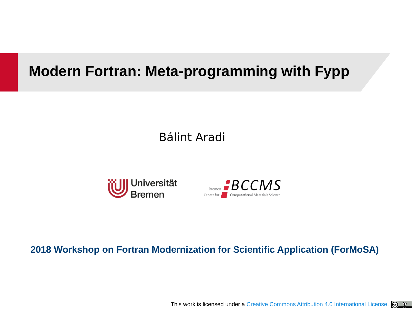### **Modern Fortran: Meta-programming with Fypp**

Bálint Aradi





#### **2018 Workshop on Fortran Modernization for Scientific Application (ForMoSA)**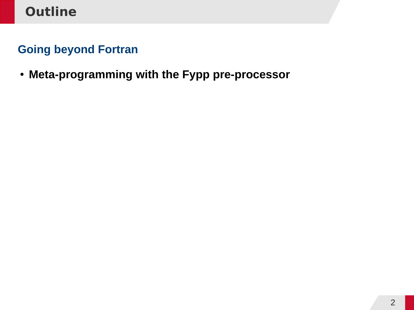### **Going beyond Fortran**

● **Meta-programming with the Fypp pre-processor**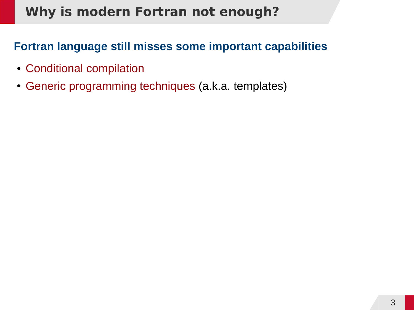## **Why is modern Fortran not enough?**

### **Fortran language still misses some important capabilities**

- Conditional compilation
- Generic programming techniques (a.k.a. templates)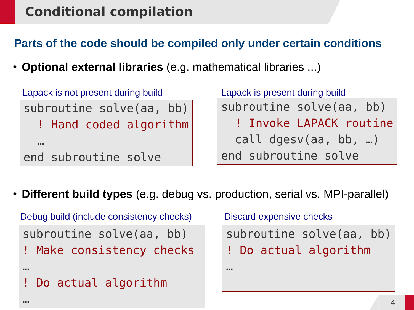## **Conditional compilation**

**Parts of the code should be compiled only under certain conditions**

● **Optional external libraries** (e.g. mathematical libraries ...)

```
subroutine solve(aa, bb)
   ! Hand coded algorithm
   …
end subroutine solve
Lapack is not present during build Lapack is present during build
```
…

subroutine solve(aa, bb) ! Invoke LAPACK routine call dgesv(aa, bb, …) end subroutine solve

● **Different build types** (e.g. debug vs. production, serial vs. MPI-parallel)

```
subroutine solve(aa, bb)
! Make consistency checks
…
  Do actual algorithm
                                  subroutine solve(aa, bb)
                                  ! Do actual algorithm
                                  …
Debug build (include consistency checks) Discard expensive checks
```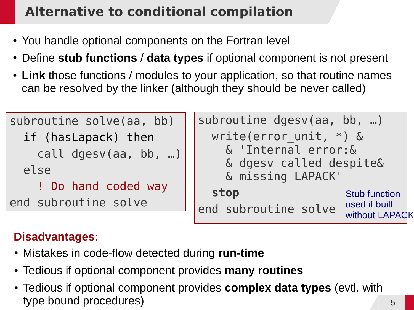# **Alternative to conditional compilation**

- You handle optional components on the Fortran level
- Define **stub functions** / **data types** if optional component is not present
- Link those functions / modules to your application, so that routine names can be resolved by the linker (although they should be never called)

| subroutine solve(aa, bb) | subroutine dgesv(aa, bb, )                                           |                                       |
|--------------------------|----------------------------------------------------------------------|---------------------------------------|
| if (hasLapack) then      | write(error unit, $*$ ) &                                            |                                       |
| call dgesv(aa, bb, )     | & 'Internal error: &<br>& dgesv called despite&<br>& missing LAPACK' |                                       |
| else                     |                                                                      |                                       |
| ! Do hand coded way      |                                                                      |                                       |
| end subroutine solve     | stop                                                                 | <b>Stub function</b><br>used if built |
|                          | end subroutine solve                                                 | without LAPACK                        |

### **Disadvantages:**

- Mistakes in code-flow detected during **run-time**
- Tedious if optional component provides **many routines**
- Tedious if optional component provides **complex data types** (evtl. with type bound procedures)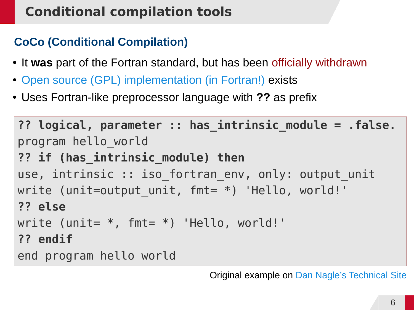## **Conditional compilation tools**

### **CoCo (Conditional Compilation)**

- It **was** part of the Fortran standard, but has been officially withdrawn
- [Open source \(GPL\) implementation \(in Fortran!\)](http://daniellnagle.com/coco.html) exists
- Uses Fortran-like preprocessor language with **??** as prefix

```
?? logical, parameter :: has_intrinsic_module = .false.
program hello_world
?? if (has_intrinsic_module) then
use, intrinsic :: iso fortran env, only: output unit
write (unit=output unit, fmt= *) 'Hello, world!'
?? else
write (unit= *, fmt= *) 'Hello, world!'
?? endif
end program hello_world
```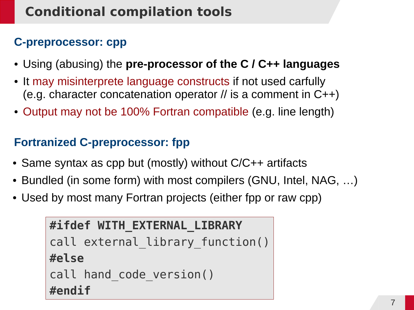# **Conditional compilation tools**

### **C-preprocessor: cpp**

- Using (abusing) the **pre-processor of the C / C++ languages**
- It may misinterprete language constructs if not used carfully (e.g. character concatenation operator  $\ell$  is a comment in C++)
- Output may not be 100% Fortran compatible (e.g. line length)

### **Fortranized C-preprocessor: fpp**

- Same syntax as cpp but (mostly) without  $C/C++$  artifacts
- Bundled (in some form) with most compilers (GNU, Intel, NAG, ...)
- Used by most many Fortran projects (either fpp or raw cpp)

```
#ifdef WITH_EXTERNAL_LIBRARY
call external library function()
#else
call hand code version()
#endif
```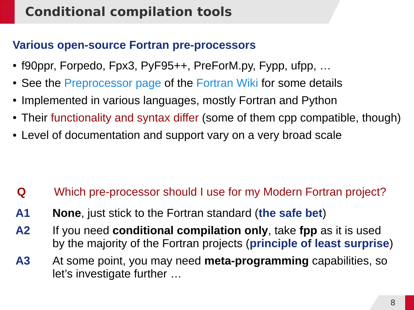## **Conditional compilation tools**

#### **Various open-source Fortran pre-processors**

- f90ppr, Forpedo, Fpx3, PyF95++, PreForM.py, Fypp, ufpp, ...
- See the [Preprocessor page](http://fortranwiki.org/fortran/show/Preprocessors) of the [Fortran Wiki](http://fortranwiki.org/fortran/show/HomePage) for some details
- Implemented in various languages, mostly Fortran and Python
- Their functionality and syntax differ (some of them cpp compatible, though)
- Level of documentation and support vary on a very broad scale

- **Q** Which pre-processor should I use for my Modern Fortran project?
- **A1 None**, just stick to the Fortran standard (**the safe bet**)
- **A2** If you need **conditional compilation only**, take **fpp** as it is used by the majority of the Fortran projects (**principle of least surprise**)
- **A3** At some point, you may need **meta-programming** capabilities, so let's investigate further …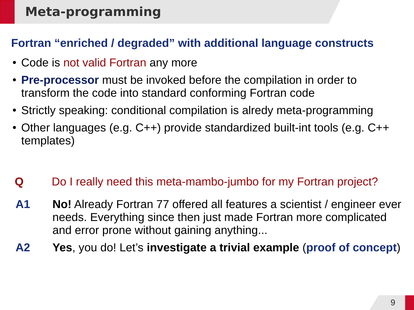### **Meta-programming**

#### **Fortran "enriched / degraded" with additional language constructs**

- Code is not valid Fortran any more
- **Pre-processor** must be invoked before the compilation in order to transform the code into standard conforming Fortran code
- Strictly speaking: conditional compilation is alredy meta-programming
- Other languages (e.g. C++) provide standardized built-int tools (e.g. C++ templates)
- **Q** Do I really need this meta-mambo-jumbo for my Fortran project?
- **A1 No!** Already Fortran 77 offered all features a scientist / engineer ever needs. Everything since then just made Fortran more complicated and error prone without gaining anything...
- **A2 Yes**, you do! Let's **investigate a trivial example** (**proof of concept**)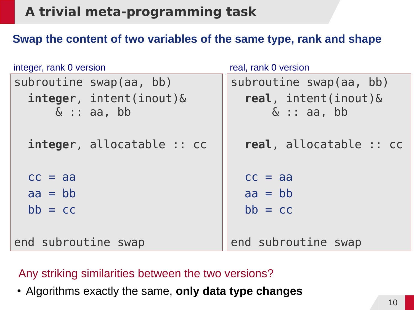## **A trivial meta-programming task**

#### **Swap the content of two variables of the same type, rank and shape**

| integer, rank 0 version                        | real, rank 0 version                   |
|------------------------------------------------|----------------------------------------|
| subroutine swap(aa, bb)                        | subroutine swap(aa, bb)                |
| $integer,$ intent(inout) $\&$<br>$\&$ : aa, bb | real, $intent(inout)$<br>$\&$ : aa, bb |
| integer, allocatable :: cc                     | real, allocatable :: cc                |
| $cc = aa$                                      | $cc = aa$                              |
| $aa = bb$                                      | $aa = bb$                              |
| $bb = cc$                                      | $bb = cc$                              |
|                                                |                                        |
| end subroutine swap                            | end subroutine swap                    |

#### Any striking similarities between the two versions?

● Algorithms exactly the same, **only data type changes**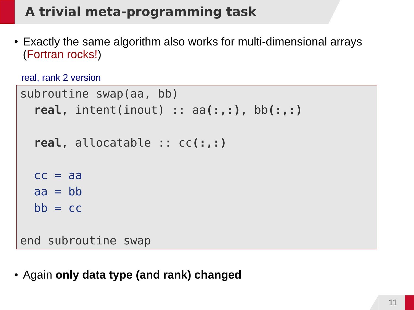## **A trivial meta-programming task**

• Exactly the same algorithm also works for multi-dimensional arrays (Fortran rocks!)

```
real, rank 2 version
```

```
subroutine swap(aa, bb)
   real, intent(inout) :: aa(:,:), bb(:,:)
   real, allocatable :: cc(:,:)
  cc = aaaa = bbbb = ccend subroutine swap
```
● Again **only data type (and rank) changed**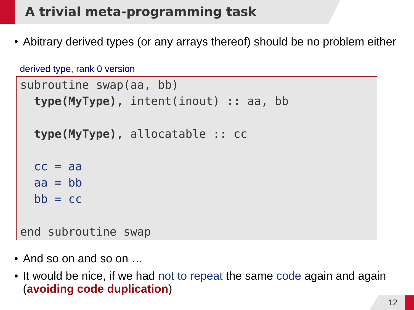# **A trivial meta-programming task**

• Abitrary derived types (or any arrays thereof) should be no problem either

```
subroutine swap(aa, bb)
   type(MyType), intent(inout) :: aa, bb
   type(MyType), allocatable :: cc
  cc = aaaa = bbbb = ccend subroutine swap
derived type, rank 0 version
```
- $\bullet$  And so on and so on  $\dots$
- It would be nice, if we had not to repeat the same code again and again (**avoiding code duplication**)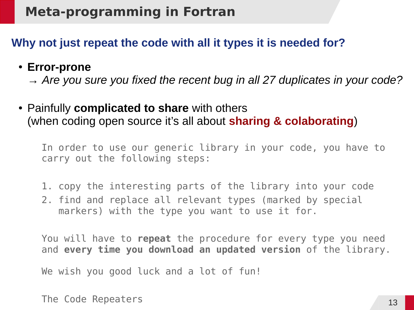### **Meta-programming in Fortran**

#### **Why not just repeat the code with all it types it is needed for?**

#### ● **Error-prone**

→ *Are you sure you fixed the recent bug in all 27 duplicates in your code?*

• Painfully **complicated to share** with others (when coding open source it's all about **sharing & colaborating**)

In order to use our generic library in your code, you have to carry out the following steps:

- 1. copy the interesting parts of the library into your code
- 2. find and replace all relevant types (marked by special markers) with the type you want to use it for.

You will have to **repeat** the procedure for every type you need and **every time you download an updated version** of the library.

We wish you good luck and a lot of fun!

The Code Repeaters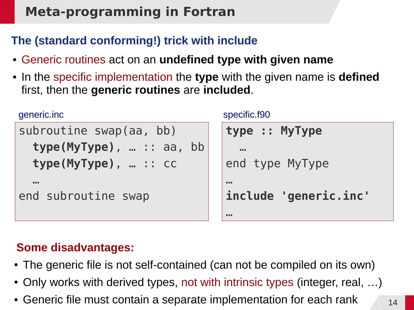### **Meta-programming in Fortran**

### **The (standard conforming!) trick with include**

- Generic routines act on an **undefined type with given name**
- In the specific implementation the **type** with the given name is **defined**  first, then the **generic routines** are **included**.

```
subroutine swap(aa, bb)
   type(MyType), … :: aa, bb
   type(MyType), … :: cc
 …
end subroutine swap
generic.inc
```

```
specific.f90
```

```
type :: MyType
 …
end type MyType
…
include 'generic.inc'
…
```
### **Some disadvantages:**

- The generic file is not self-contained (can not be compiled on its own)
- Only works with derived types, not with intrinsic types (integer, real, ...)
- Generic file must contain a separate implementation for each rank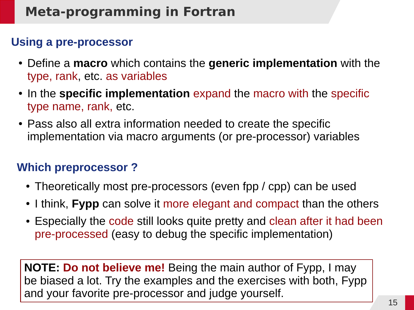#### **Using a pre-processor**

- Define a **macro** which contains the **generic implementation** with the type, rank, etc. as variables
- In the **specific implementation** expand the macro with the specific type name, rank, etc.
- Pass also all extra information needed to create the specific implementation via macro arguments (or pre-processor) variables

### **Which preprocessor ?**

- Theoretically most pre-processors (even fpp / cpp) can be used
- I think, **Fypp** can solve it more elegant and compact than the others
- Especially the code still looks quite pretty and clean after it had been pre-processed (easy to debug the specific implementation)

**NOTE: Do not believe me!** Being the main author of Fypp, I may be biased a lot. Try the examples and the exercises with both, Fypp and your favorite pre-processor and judge yourself.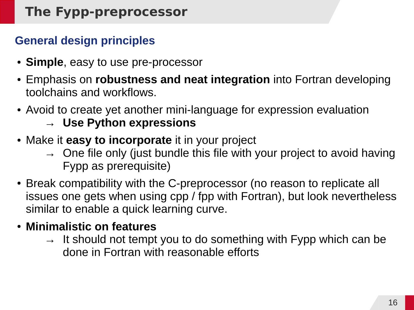# **The Fypp-preprocessor**

### **General design principles**

- **Simple**, easy to use pre-processor
- Emphasis on **robustness and neat integration** into Fortran developing toolchains and workflows.
- Avoid to create yet another mini-language for expression evaluation
	- → **Use Python expressions**
- Make it **easy to incorporate** it in your project
	- $\rightarrow$  One file only (just bundle this file with your project to avoid having Fypp as prerequisite)
- Break compatibility with the C-preprocessor (no reason to replicate all issues one gets when using cpp / fpp with Fortran), but look nevertheless similar to enable a quick learning curve.
- **Minimalistic on features**
	- $\rightarrow$  It should not tempt you to do something with Fypp which can be done in Fortran with reasonable efforts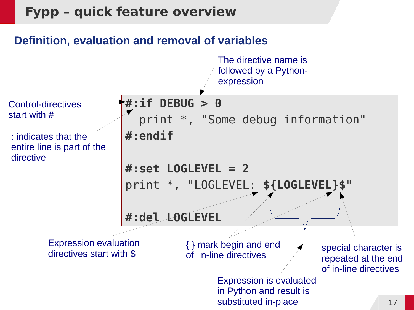#### **Definition, evaluation and removal of variables**

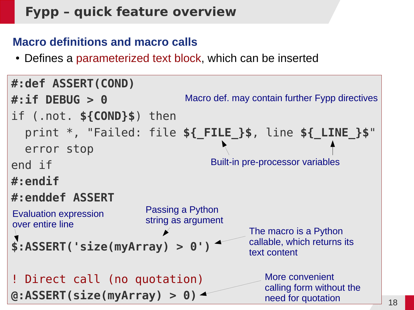#### **Macro definitions and macro calls**

• Defines a parameterized text block, which can be inserted

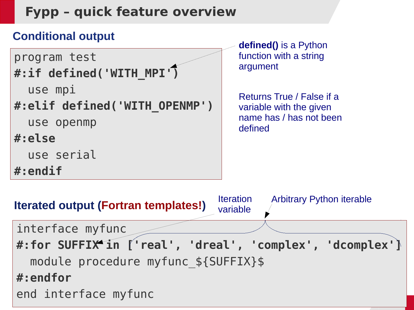

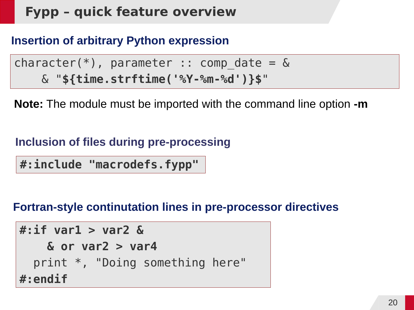#### **Insertion of arbitrary Python expression**

character(\*), parameter :: comp date =  $&$ & "**\${time.strftime('%Y-%m-%d')}\$**"

**Note:** The module must be imported with the command line option **-m**

#### **Inclusion of files during pre-processing**

**#:include "macrodefs.fypp"**

#### **Fortran-style continutation lines in pre-processor directives**

**#:if var1 > var2 & & or var2 > var4** print \*, "Doing something here" **#:endif**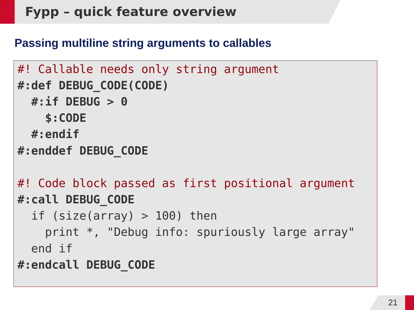#### **Passing multiline string arguments to callables**

```
#! Callable needs only string argument
#:def DEBUG_CODE(CODE)
   #:if DEBUG > 0
     $:CODE
   #:endif
#:enddef DEBUG_CODE
#! Code block passed as first positional argument
#:call DEBUG_CODE
  if (size(array) > 100) then
     print *, "Debug info: spuriously large array"
   end if
#:endcall DEBUG_CODE
```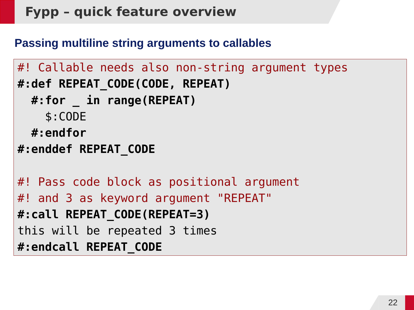#### **Passing multiline string arguments to callables**

```
#! Callable needs also non-string argument types
#:def REPEAT_CODE(CODE, REPEAT)
   #:for _ in range(REPEAT)
     $:CODE
   #:endfor
#:enddef REPEAT_CODE
#! Pass code block as positional argument
#! and 3 as keyword argument "REPEAT"
#:call REPEAT_CODE(REPEAT=3)
this will be repeated 3 times
#:endcall REPEAT_CODE
```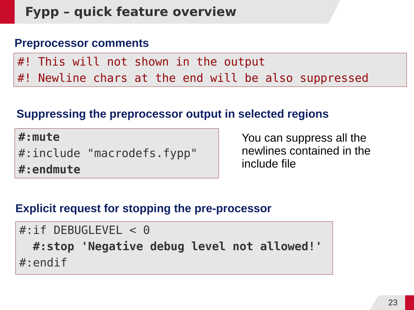#### **Preprocessor comments**

#! This will not shown in the output #! Newline chars at the end will be also suppressed

#### **Suppressing the preprocessor output in selected regions**

**#:mute** #:include "macrodefs.fypp" **#:endmute**

You can suppress all the newlines contained in the include file

#### **Explicit request for stopping the pre-processor**

```
#:if DEBUGLEVEL < 0
   #:stop 'Negative debug level not allowed!'
#:endif
```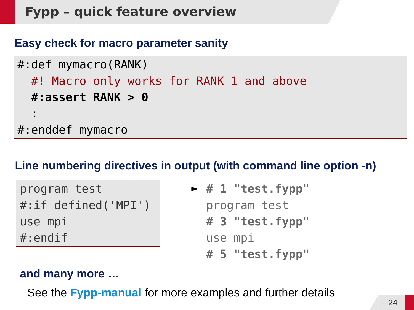#### **Easy check for macro parameter sanity**

```
#:def mymacro(RANK)
   #! Macro only works for RANK 1 and above
   #:assert RANK > 0
 :
#:enddef mymacro
```
#### **Line numbering directives in output (with command line option -n)**

| program test        |
|---------------------|
| #:if defined('MPI') |
| use mpi             |
| $\#$ :endif         |

```
# 1 "test.fypp"
  program test
  # 3 "test.fypp"
  use mpi
  # 5 "test.fypp"
```
#### **and many more …**

See the **[Fypp-manual](http://fypp.readthedocs.io/en/stable/fypp.html)** for more examples and further details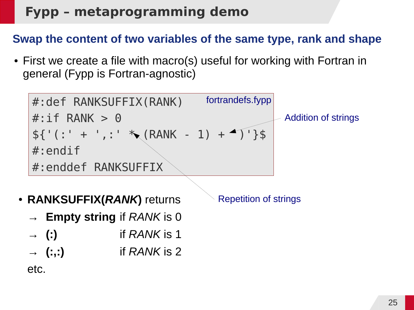#### **Swap the content of two variables of the same type, rank and shape**

• First we create a file with macro(s) useful for working with Fortran in general (Fypp is Fortran-agnostic)

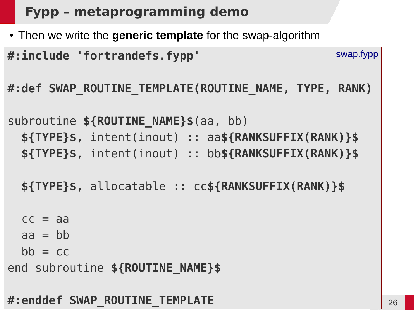• Then we write the generic template for the swap-algorithm

| #:include 'fortrandefs.fypp'                          | swap.fypp |
|-------------------------------------------------------|-----------|
| #:def SWAP ROUTINE TEMPLATE(ROUTINE NAME, TYPE, RANK) |           |
| subroutine \${ROUTINE NAME}\$(aa, bb)                 |           |
| \${TYPE}\$, intent(inout) :: aa\${RANKSUFFIX(RANK)}\$ |           |
| \${TYPE}\$, intent(inout) :: bb\${RANKSUFFIX(RANK)}\$ |           |
|                                                       |           |
| \${TYPE}\$, allocatable :: cc\${RANKSUFFIX(RANK)}\$   |           |
|                                                       |           |
| $cc = aa$                                             |           |
| $aa = bb$                                             |           |
| $bb = cc$                                             |           |

end subroutine **\${ROUTINE\_NAME}\$**

#### **#:enddef SWAP\_ROUTINE\_TEMPLATE**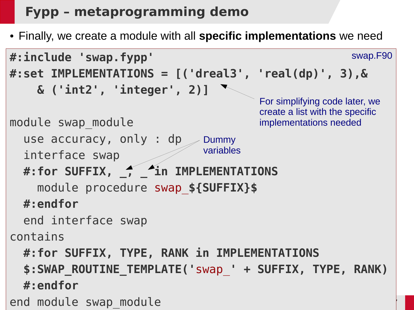● Finally, we create a module with all **specific implementations** we need

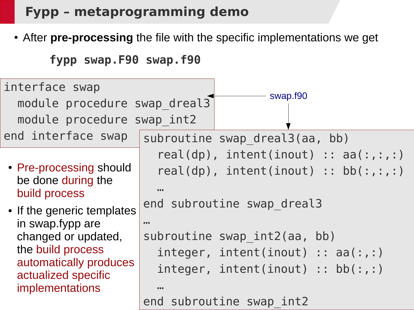• After pre-processing the file with the specific implementations we get

```
fypp swap.F90 swap.f90
```